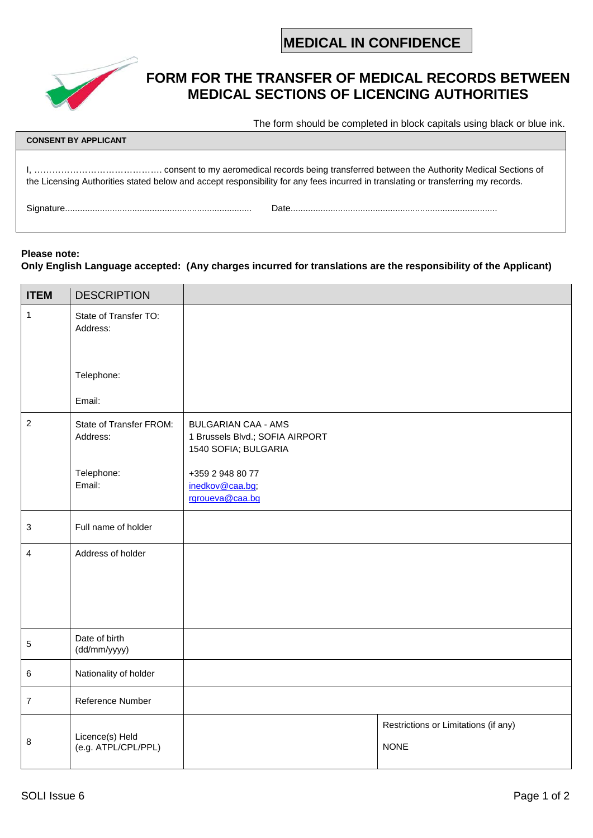**MEDICAL IN CONFIDENCE**



## **FORM FOR THE TRANSFER OF MEDICAL RECORDS BETWEEN MEDICAL SECTIONS OF LICENCING AUTHORITIES**

The form should be completed in block capitals using black or blue ink.

| <b>CONSENT BY APPLICANT</b> |                                                                                                                                   |  |  |  |
|-----------------------------|-----------------------------------------------------------------------------------------------------------------------------------|--|--|--|
|                             | the Licensing Authorities stated below and accept responsibility for any fees incurred in translating or transferring my records. |  |  |  |
|                             | Date                                                                                                                              |  |  |  |

## **Please note: Only English Language accepted: (Any charges incurred for translations are the responsibility of the Applicant)**

| <b>ITEM</b>      | <b>DESCRIPTION</b>                     |                                                                                       |                                                     |
|------------------|----------------------------------------|---------------------------------------------------------------------------------------|-----------------------------------------------------|
| $\mathbf{1}$     | State of Transfer TO:<br>Address:      |                                                                                       |                                                     |
|                  |                                        |                                                                                       |                                                     |
|                  | Telephone:                             |                                                                                       |                                                     |
|                  | Email:                                 |                                                                                       |                                                     |
| $\boldsymbol{2}$ | State of Transfer FROM:<br>Address:    | <b>BULGARIAN CAA - AMS</b><br>1 Brussels Blvd.; SOFIA AIRPORT<br>1540 SOFIA; BULGARIA |                                                     |
|                  | Telephone:<br>Email:                   | +359 2 948 80 77<br>inedkov@caa.bg;<br>rgroueva@caa.bg                                |                                                     |
| 3                | Full name of holder                    |                                                                                       |                                                     |
| 4                | Address of holder                      |                                                                                       |                                                     |
| 5                | Date of birth<br>(dd/mm/yyyy)          |                                                                                       |                                                     |
| 6                | Nationality of holder                  |                                                                                       |                                                     |
| $\overline{7}$   | Reference Number                       |                                                                                       |                                                     |
| 8                | Licence(s) Held<br>(e.g. ATPL/CPL/PPL) |                                                                                       | Restrictions or Limitations (if any)<br><b>NONE</b> |